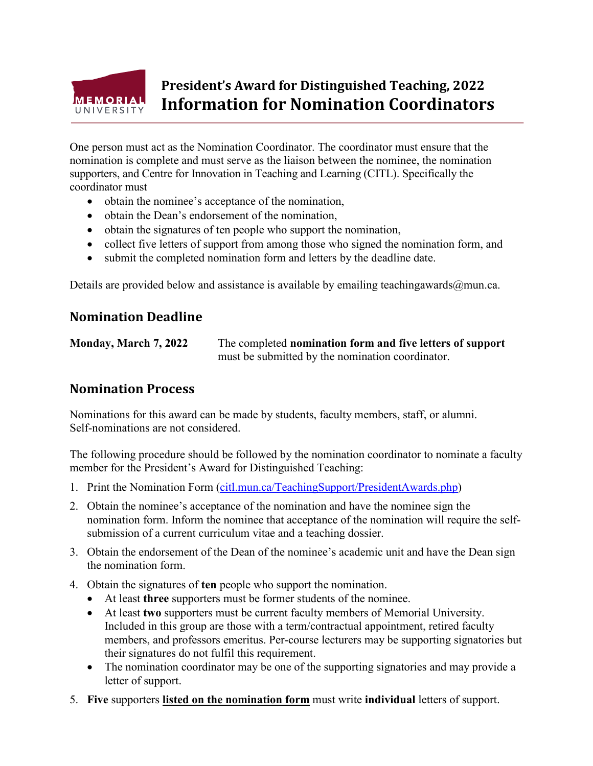

## **President's Award for Distinguished Teaching, 2022 Information for Nomination Coordinators**

One person must act as the Nomination Coordinator. The coordinator must ensure that the nomination is complete and must serve as the liaison between the nominee, the nomination supporters, and Centre for Innovation in Teaching and Learning (CITL). Specifically the coordinator must

- obtain the nominee's acceptance of the nomination,
- obtain the Dean's endorsement of the nomination,
- obtain the signatures of ten people who support the nomination,
- collect five letters of support from among those who signed the nomination form, and
- submit the completed nomination form and letters by the deadline date.

Details are provided below and assistance is available by emailing teaching awards  $@$  mun.ca.

## **Nomination Deadline**

**Monday, March 7, 2022** The completed **nomination form and five letters of support** must be submitted by the nomination coordinator.

## **Nomination Process**

Nominations for this award can be made by students, faculty members, staff, or alumni. Self-nominations are not considered.

The following procedure should be followed by the nomination coordinator to nominate a faculty member for the President's Award for Distinguished Teaching:

- 1. Print the Nomination Form [\(citl.mun.ca/TeachingSupport/PresidentAwards.php\)](http://www.citl.mun.ca/TeachingSupport/PresidentAwards.php)
- 2. Obtain the nominee's acceptance of the nomination and have the nominee sign the nomination form. Inform the nominee that acceptance of the nomination will require the selfsubmission of a current curriculum vitae and a teaching dossier.
- 3. Obtain the endorsement of the Dean of the nominee's academic unit and have the Dean sign the nomination form.
- 4. Obtain the signatures of **ten** people who support the nomination.
	- At least **three** supporters must be former students of the nominee.
	- At least **two** supporters must be current faculty members of Memorial University. Included in this group are those with a term/contractual appointment, retired faculty members, and professors emeritus. Per-course lecturers may be supporting signatories but their signatures do not fulfil this requirement.
	- The nomination coordinator may be one of the supporting signatories and may provide a letter of support.
- 5. **Five** supporters **listed on the nomination form** must write **individual** letters of support.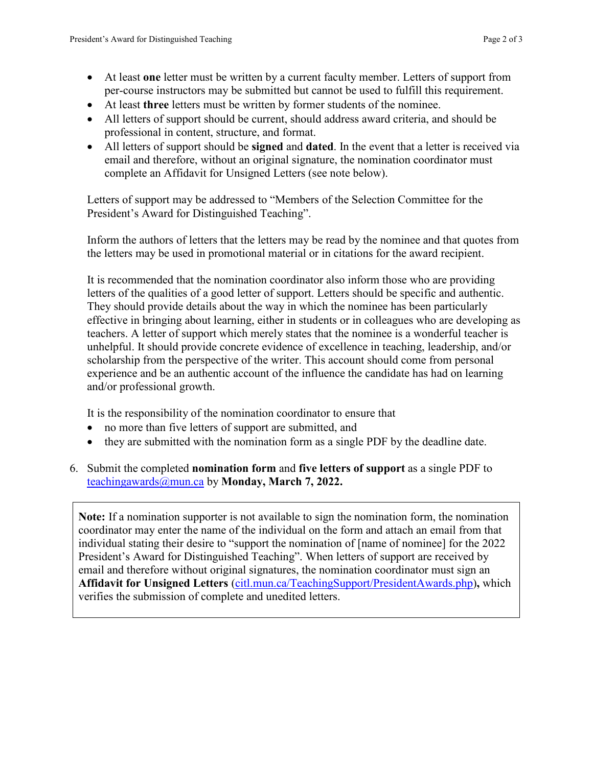- At least **one** letter must be written by a current faculty member. Letters of support from per-course instructors may be submitted but cannot be used to fulfill this requirement.
- At least **three** letters must be written by former students of the nominee.
- All letters of support should be current, should address award criteria, and should be professional in content, structure, and format.
- All letters of support should be **signed** and **dated**. In the event that a letter is received via email and therefore, without an original signature, the nomination coordinator must complete an Affidavit for Unsigned Letters (see note below).

Letters of support may be addressed to "Members of the Selection Committee for the President's Award for Distinguished Teaching".

Inform the authors of letters that the letters may be read by the nominee and that quotes from the letters may be used in promotional material or in citations for the award recipient.

It is recommended that the nomination coordinator also inform those who are providing letters of the qualities of a good letter of support. Letters should be specific and authentic. They should provide details about the way in which the nominee has been particularly effective in bringing about learning, either in students or in colleagues who are developing as teachers. A letter of support which merely states that the nominee is a wonderful teacher is unhelpful. It should provide concrete evidence of excellence in teaching, leadership, and/or scholarship from the perspective of the writer. This account should come from personal experience and be an authentic account of the influence the candidate has had on learning and/or professional growth.

It is the responsibility of the nomination coordinator to ensure that

- no more than five letters of support are submitted, and
- they are submitted with the nomination form as a single PDF by the deadline date.
- 6. Submit the completed **nomination form** and **five letters of support** as a single PDF to [teachingawards@mun.ca](mailto:teachingawards@mun.ca) by **Monday, March 7, 2022.**

**Note:** If a nomination supporter is not available to sign the nomination form, the nomination coordinator may enter the name of the individual on the form and attach an email from that individual stating their desire to "support the nomination of [name of nominee] for the 2022 President's Award for Distinguished Teaching". When letters of support are received by email and therefore without original signatures, the nomination coordinator must sign an **Affidavit for Unsigned Letters** [\(citl.mun.ca/TeachingSupport/PresidentAwards.php\)](http://www.citl.mun.ca/TeachingSupport/PresidentAwards.php)**,** which verifies the submission of complete and unedited letters.